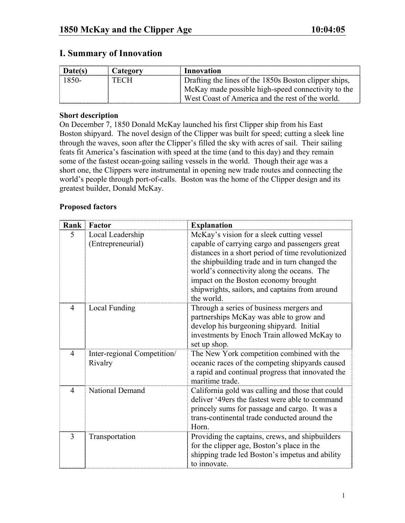# **I. Summary of Innovation**

| Date(s) | Category | Innovation                                            |
|---------|----------|-------------------------------------------------------|
| 1850-   | TECH     | Drafting the lines of the 1850s Boston clipper ships, |
|         |          | McKay made possible high-speed connectivity to the    |
|         |          | West Coast of America and the rest of the world.      |

#### **Short description**

On December 7, 1850 Donald McKay launched his first Clipper ship from his East Boston shipyard. The novel design of the Clipper was built for speed; cutting a sleek line through the waves, soon after the Clipper's filled the sky with acres of sail. Their sailing feats fit America's fascination with speed at the time (and to this day) and they remain some of the fastest ocean-going sailing vessels in the world. Though their age was a short one, the Clippers were instrumental in opening new trade routes and connecting the world's people through port-of-calls. Boston was the home of the Clipper design and its greatest builder, Donald McKay.

### **Proposed factors**

| Rank | Factor                                 | <b>Explanation</b>                                                                                                                                                                                                                                                                                                                                        |
|------|----------------------------------------|-----------------------------------------------------------------------------------------------------------------------------------------------------------------------------------------------------------------------------------------------------------------------------------------------------------------------------------------------------------|
| 5    | Local Leadership<br>(Entrepreneurial)  | McKay's vision for a sleek cutting vessel<br>capable of carrying cargo and passengers great<br>distances in a short period of time revolutionized<br>the shipbuilding trade and in turn changed the<br>world's connectivity along the oceans. The<br>impact on the Boston economy brought<br>shipwrights, sailors, and captains from around<br>the world. |
| 4    | Local Funding                          | Through a series of business mergers and<br>partnerships McKay was able to grow and<br>develop his burgeoning shipyard. Initial<br>investments by Enoch Train allowed McKay to<br>set up shop.                                                                                                                                                            |
| 4    | Inter-regional Competition/<br>Rivalry | The New York competition combined with the<br>oceanic races of the competing shipyards caused<br>a rapid and continual progress that innovated the<br>maritime trade.                                                                                                                                                                                     |
| 4    | <b>National Demand</b>                 | California gold was calling and those that could<br>deliver '49ers the fastest were able to command<br>princely sums for passage and cargo. It was a<br>trans-continental trade conducted around the<br>Horn.                                                                                                                                             |
| 3    | Transportation                         | Providing the captains, crews, and shipbuilders<br>for the clipper age, Boston's place in the<br>shipping trade led Boston's impetus and ability<br>to innovate.                                                                                                                                                                                          |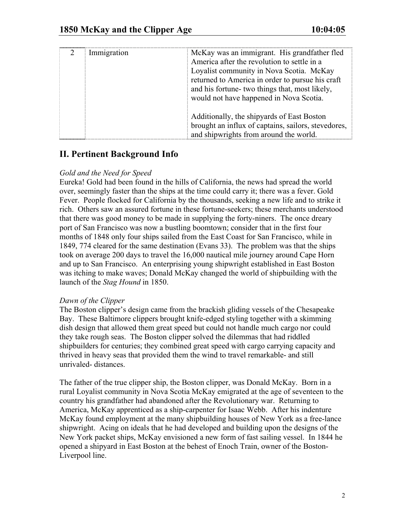| Immigration | McKay was an immigrant. His grandfather fled<br>America after the revolution to settle in a<br>Loyalist community in Nova Scotia. McKay<br>returned to America in order to pursue his craft<br>and his fortune- two things that, most likely,<br>would not have happened in Nova Scotia. |
|-------------|------------------------------------------------------------------------------------------------------------------------------------------------------------------------------------------------------------------------------------------------------------------------------------------|
|             | Additionally, the shipyards of East Boston<br>brought an influx of captains, sailors, stevedores,<br>and shipwrights from around the world.                                                                                                                                              |

# **II. Pertinent Background Info**

### *Gold and the Need for Speed*

Eureka! Gold had been found in the hills of California, the news had spread the world over, seemingly faster than the ships at the time could carry it; there was a fever. Gold Fever. People flocked for California by the thousands, seeking a new life and to strike it rich. Others saw an assured fortune in these fortune-seekers; these merchants understood that there was good money to be made in supplying the forty-niners. The once dreary port of San Francisco was now a bustling boomtown; consider that in the first four months of 1848 only four ships sailed from the East Coast for San Francisco, while in 1849, 774 cleared for the same destination (Evans 33). The problem was that the ships took on average 200 days to travel the 16,000 nautical mile journey around Cape Horn and up to San Francisco. An enterprising young shipwright established in East Boston was itching to make waves; Donald McKay changed the world of shipbuilding with the launch of the *Stag Hound* in 1850.

#### *Dawn of the Clipper*

The Boston clipper's design came from the brackish gliding vessels of the Chesapeake Bay. These Baltimore clippers brought knife-edged styling together with a skimming dish design that allowed them great speed but could not handle much cargo nor could they take rough seas. The Boston clipper solved the dilemmas that had riddled shipbuilders for centuries; they combined great speed with cargo carrying capacity and thrived in heavy seas that provided them the wind to travel remarkable- and still unrivaled- distances.

The father of the true clipper ship, the Boston clipper, was Donald McKay. Born in a rural Loyalist community in Nova Scotia McKay emigrated at the age of seventeen to the country his grandfather had abandoned after the Revolutionary war. Returning to America, McKay apprenticed as a ship-carpenter for Isaac Webb. After his indenture McKay found employment at the many shipbuilding houses of New York as a free-lance shipwright. Acing on ideals that he had developed and building upon the designs of the New York packet ships, McKay envisioned a new form of fast sailing vessel. In 1844 he opened a shipyard in East Boston at the behest of Enoch Train, owner of the Boston-Liverpool line.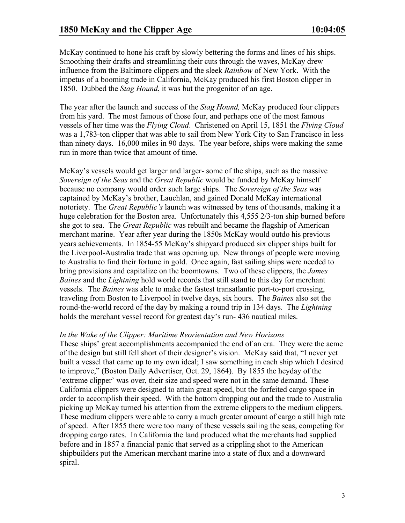McKay continued to hone his craft by slowly bettering the forms and lines of his ships. Smoothing their drafts and streamlining their cuts through the waves, McKay drew influence from the Baltimore clippers and the sleek *Rainbow* of New York. With the impetus of a booming trade in California, McKay produced his first Boston clipper in 1850. Dubbed the *Stag Hound*, it was but the progenitor of an age.

The year after the launch and success of the *Stag Hound,* McKay produced four clippers from his yard. The most famous of those four, and perhaps one of the most famous vessels of her time was the *Flying Cloud*. Christened on April 15, 1851 the *Flying Cloud* was a 1,783-ton clipper that was able to sail from New York City to San Francisco in less than ninety days. 16,000 miles in 90 days. The year before, ships were making the same run in more than twice that amount of time.

McKay's vessels would get larger and larger- some of the ships, such as the massive *Sovereign of the Seas* and the *Great Republic* would be funded by McKay himself because no company would order such large ships. The *Sovereign of the Seas* was captained by McKay's brother, Lauchlan, and gained Donald McKay international notoriety. The *Great Republic's* launch was witnessed by tens of thousands, making it a huge celebration for the Boston area. Unfortunately this 4,555 2/3-ton ship burned before she got to sea. The *Great Republic* was rebuilt and became the flagship of American merchant marine. Year after year during the 1850s McKay would outdo his previous years achievements. In 1854-55 McKay's shipyard produced six clipper ships built for the Liverpool-Australia trade that was opening up. New throngs of people were moving to Australia to find their fortune in gold. Once again, fast sailing ships were needed to bring provisions and capitalize on the boomtowns. Two of these clippers, the *James Baines* and the *Lightning* hold world records that still stand to this day for merchant vessels. The *Baines* was able to make the fastest transatlantic port-to-port crossing, traveling from Boston to Liverpool in twelve days, six hours. The *Baines* also set the round-the-world record of the day by making a round trip in 134 days. The *Lightning*  holds the merchant vessel record for greatest day's run- 436 nautical miles.

#### *In the Wake of the Clipper: Maritime Reorientation and New Horizons*

These ships' great accomplishments accompanied the end of an era. They were the acme of the design but still fell short of their designer's vision. McKay said that, "I never yet built a vessel that came up to my own ideal; I saw something in each ship which I desired to improve," (Boston Daily Advertiser, Oct. 29, 1864). By 1855 the heyday of the 'extreme clipper' was over, their size and speed were not in the same demand. These California clippers were designed to attain great speed, but the forfeited cargo space in order to accomplish their speed. With the bottom dropping out and the trade to Australia picking up McKay turned his attention from the extreme clippers to the medium clippers. These medium clippers were able to carry a much greater amount of cargo a still high rate of speed. After 1855 there were too many of these vessels sailing the seas, competing for dropping cargo rates. In California the land produced what the merchants had supplied before and in 1857 a financial panic that served as a crippling shot to the American shipbuilders put the American merchant marine into a state of flux and a downward spiral.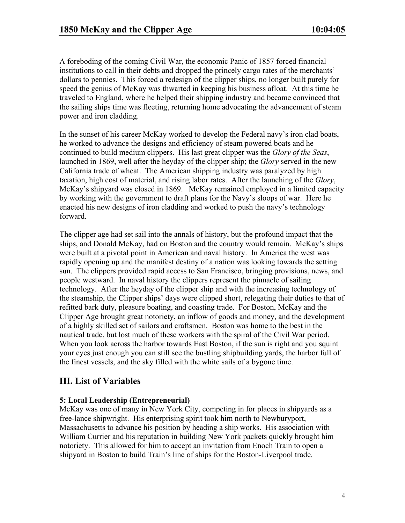A foreboding of the coming Civil War, the economic Panic of 1857 forced financial institutions to call in their debts and dropped the princely cargo rates of the merchants' dollars to pennies. This forced a redesign of the clipper ships, no longer built purely for speed the genius of McKay was thwarted in keeping his business afloat. At this time he traveled to England, where he helped their shipping industry and became convinced that the sailing ships time was fleeting, returning home advocating the advancement of steam power and iron cladding.

In the sunset of his career McKay worked to develop the Federal navy's iron clad boats, he worked to advance the designs and efficiency of steam powered boats and he continued to build medium clippers. His last great clipper was the *Glory of the Seas*, launched in 1869, well after the heyday of the clipper ship; the *Glory* served in the new California trade of wheat. The American shipping industry was paralyzed by high taxation, high cost of material, and rising labor rates. After the launching of the *Glory*, McKay's shipyard was closed in 1869. McKay remained employed in a limited capacity by working with the government to draft plans for the Navy's sloops of war. Here he enacted his new designs of iron cladding and worked to push the navy's technology forward.

The clipper age had set sail into the annals of history, but the profound impact that the ships, and Donald McKay, had on Boston and the country would remain. McKay's ships were built at a pivotal point in American and naval history. In America the west was rapidly opening up and the manifest destiny of a nation was looking towards the setting sun. The clippers provided rapid access to San Francisco, bringing provisions, news, and people westward. In naval history the clippers represent the pinnacle of sailing technology. After the heyday of the clipper ship and with the increasing technology of the steamship, the Clipper ships' days were clipped short, relegating their duties to that of refitted bark duty, pleasure boating, and coasting trade. For Boston, McKay and the Clipper Age brought great notoriety, an inflow of goods and money, and the development of a highly skilled set of sailors and craftsmen. Boston was home to the best in the nautical trade, but lost much of these workers with the spiral of the Civil War period. When you look across the harbor towards East Boston, if the sun is right and you squint your eyes just enough you can still see the bustling shipbuilding yards, the harbor full of the finest vessels, and the sky filled with the white sails of a bygone time.

## **III. List of Variables**

### **5: Local Leadership (Entrepreneurial)**

McKay was one of many in New York City, competing in for places in shipyards as a free-lance shipwright. His enterprising spirit took him north to Newburyport, Massachusetts to advance his position by heading a ship works. His association with William Currier and his reputation in building New York packets quickly brought him notoriety. This allowed for him to accept an invitation from Enoch Train to open a shipyard in Boston to build Train's line of ships for the Boston-Liverpool trade.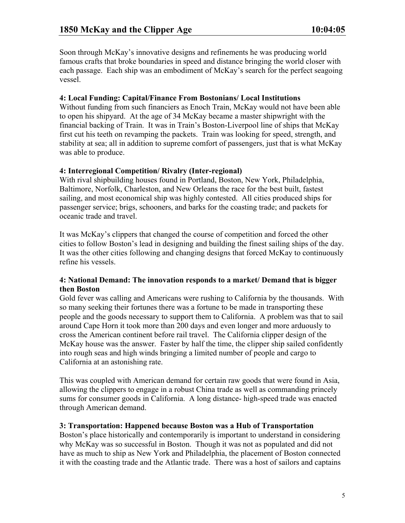Soon through McKay's innovative designs and refinements he was producing world famous crafts that broke boundaries in speed and distance bringing the world closer with each passage. Each ship was an embodiment of McKay's search for the perfect seagoing vessel.

#### **4: Local Funding: Capital/Finance From Bostonians/ Local Institutions**

Without funding from such financiers as Enoch Train, McKay would not have been able to open his shipyard. At the age of 34 McKay became a master shipwright with the financial backing of Train. It was in Train's Boston-Liverpool line of ships that McKay first cut his teeth on revamping the packets. Train was looking for speed, strength, and stability at sea; all in addition to supreme comfort of passengers, just that is what McKay was able to produce.

### **4: Interregional Competition/ Rivalry (Inter-regional)**

With rival shipbuilding houses found in Portland, Boston, New York, Philadelphia, Baltimore, Norfolk, Charleston, and New Orleans the race for the best built, fastest sailing, and most economical ship was highly contested. All cities produced ships for passenger service; brigs, schooners, and barks for the coasting trade; and packets for oceanic trade and travel.

It was McKay's clippers that changed the course of competition and forced the other cities to follow Boston's lead in designing and building the finest sailing ships of the day. It was the other cities following and changing designs that forced McKay to continuously refine his vessels.

#### **4: National Demand: The innovation responds to a market/ Demand that is bigger then Boston**

Gold fever was calling and Americans were rushing to California by the thousands. With so many seeking their fortunes there was a fortune to be made in transporting these people and the goods necessary to support them to California. A problem was that to sail around Cape Horn it took more than 200 days and even longer and more arduously to cross the American continent before rail travel. The California clipper design of the McKay house was the answer. Faster by half the time, the clipper ship sailed confidently into rough seas and high winds bringing a limited number of people and cargo to California at an astonishing rate.

This was coupled with American demand for certain raw goods that were found in Asia, allowing the clippers to engage in a robust China trade as well as commanding princely sums for consumer goods in California. A long distance- high-speed trade was enacted through American demand.

#### **3: Transportation: Happened because Boston was a Hub of Transportation**

Boston's place historically and contemporarily is important to understand in considering why McKay was so successful in Boston. Though it was not as populated and did not have as much to ship as New York and Philadelphia, the placement of Boston connected it with the coasting trade and the Atlantic trade. There was a host of sailors and captains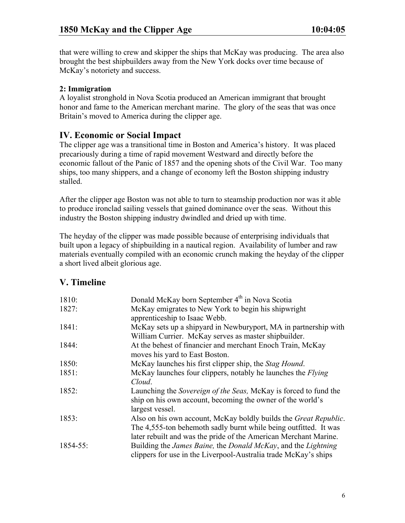that were willing to crew and skipper the ships that McKay was producing. The area also brought the best shipbuilders away from the New York docks over time because of McKay's notoriety and success.

### **2: Immigration**

A loyalist stronghold in Nova Scotia produced an American immigrant that brought honor and fame to the American merchant marine. The glory of the seas that was once Britain's moved to America during the clipper age.

## **IV. Economic or Social Impact**

The clipper age was a transitional time in Boston and America's history. It was placed precariously during a time of rapid movement Westward and directly before the economic fallout of the Panic of 1857 and the opening shots of the Civil War. Too many ships, too many shippers, and a change of economy left the Boston shipping industry stalled.

After the clipper age Boston was not able to turn to steamship production nor was it able to produce ironclad sailing vessels that gained dominance over the seas. Without this industry the Boston shipping industry dwindled and dried up with time.

The heyday of the clipper was made possible because of enterprising individuals that built upon a legacy of shipbuilding in a nautical region. Availability of lumber and raw materials eventually compiled with an economic crunch making the heyday of the clipper a short lived albeit glorious age.

## **V. Timeline**

| 1810:    | Donald McKay born September 4 <sup>th</sup> in Nova Scotia                           |
|----------|--------------------------------------------------------------------------------------|
| 1827:    | McKay emigrates to New York to begin his shipwright                                  |
|          | apprenticeship to Isaac Webb.                                                        |
| 1841:    | McKay sets up a shipyard in Newburyport, MA in partnership with                      |
|          | William Currier. McKay serves as master shipbuilder.                                 |
| 1844:    | At the behest of financier and merchant Enoch Train, McKay                           |
|          | moves his yard to East Boston.                                                       |
| 1850:    | McKay launches his first clipper ship, the Stag Hound.                               |
| 1851:    | McKay launches four clippers, notably he launches the <i>Flying</i>                  |
|          | Cloud.                                                                               |
| 1852:    | Launching the Sovereign of the Seas, McKay is forced to fund the                     |
|          | ship on his own account, becoming the owner of the world's                           |
|          | largest vessel.                                                                      |
| 1853:    | Also on his own account, McKay boldly builds the <i>Great Republic</i> .             |
|          | The 4,555-ton behemoth sadly burnt while being outfitted. It was                     |
|          | later rebuilt and was the pride of the American Merchant Marine.                     |
| 1854-55: | Building the <i>James Baine</i> , the <i>Donald McKay</i> , and the <i>Lightning</i> |
|          | clippers for use in the Liverpool-Australia trade McKay's ships                      |